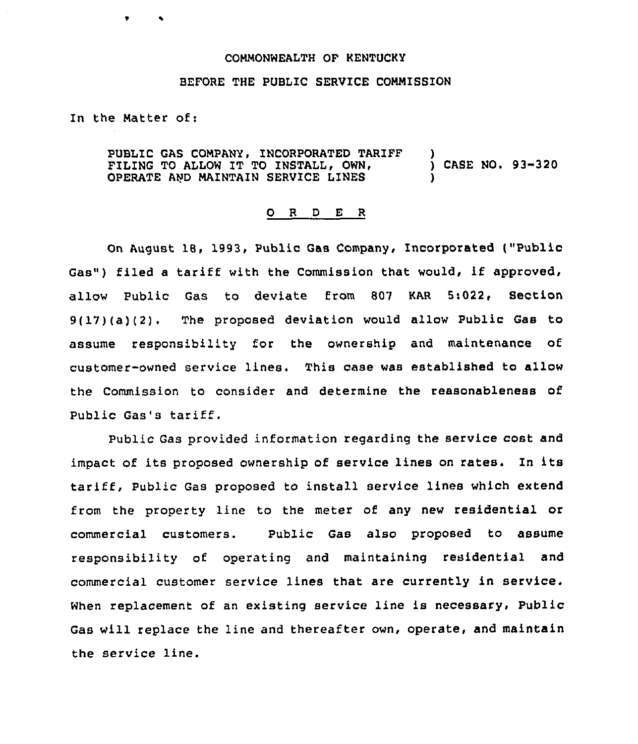## COMMONWEALTH OF KENTUCKY

## BEFORE THE PUBLIC SERVICE COMMISSION

In the Matter of:

PUBLIC GAS COMPANY, INCORPORATED TARIFF FILING TO ALLOW IT TO INSTALL, OWN, OPERATE AND MAINTAIN SERVICE LINES ) ) CASE NO. 93-320 )

## 0 <sup>R</sup> <sup>D</sup> E <sup>R</sup>

On August 18, 1993, Public Gas Company, Incorporated ("Public Gas") filed <sup>a</sup> tariff with the Commission that would, if approved, allow Public Gas to deviate from 807 KAR 5:022, Section 9(17)(a)(2), The proposed deviation would allow Public Gas to assume responsibility for the ownership and maintenance of customer-owned service lines. This case was established to allow the Commission to consider and determine the reasonableness of Public Gas's tariff.

Public Gas provided information regarding the service cost and impact of its proposed ownership of service lines on rates. In its tariff, Public Gas proposed to install service lines which extend from the property line to the meter of any new residential or commercial customers. Public Gas also proposed to assume responsibility of operating and maintaining residential and commercial customer service lines that are currently in service. When replacement of an existing service line is necessary, Public Gas will replace the line and thereafter own, operate, and maintain the service line.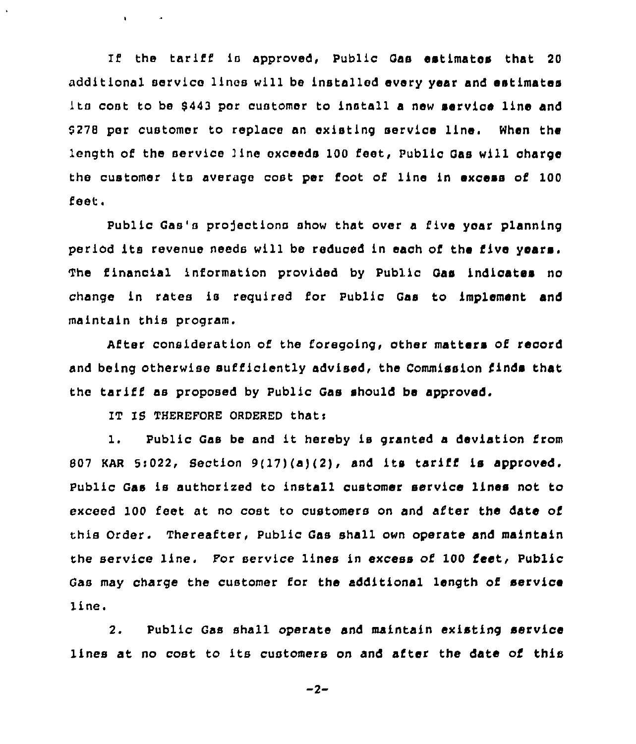If the tariff is approved, Public Gas estimates that 20 additional service lines will be installed every year and estimates Its cont to be \$443 per customer to install a new service line and 0278 per customer to replace an existing service line. When the length of the service line exceeds 100 feet, Public Gas will charge the customer its average cost per foot of line in excess of 100 feet.

Public Gas's projections show that over a five year planning period its revenue needs will be reduced in each of the five vears. financial information provided by Public Gas indicates no change in rates is required for Public Gas to implement and maintain this program.

After consideration of the foregoing, other matters of record and being otherwise sufficiently advised, the Commission finds that the tariff as proposed by Public Gas should be approved.

IT IS THEREFORE ORDERED that:

 $\mathbf{E}^{(1)}$  and  $\mathbf{E}^{(2)}$  and  $\mathbf{E}^{(3)}$ 

1. Public Gas be and it hereby is granted <sup>a</sup> deviation from 807 KAR 5:022, Section  $9(17)(a)(2)$ , and its tariff is approved. Public Gas is authorized to install customer service lines not to exceed 100 feet at no cost to customers on and after the date of this Order. Thereafter, Public Gas shall own operate and maintain the service line. For service lines in excess of 100 feet, Public Gas may charge the customer for the additional length of service line,

2. Public Gas shall operate and maintain existing service lines at no cost to its customers on and after the date of this

 $-2-$